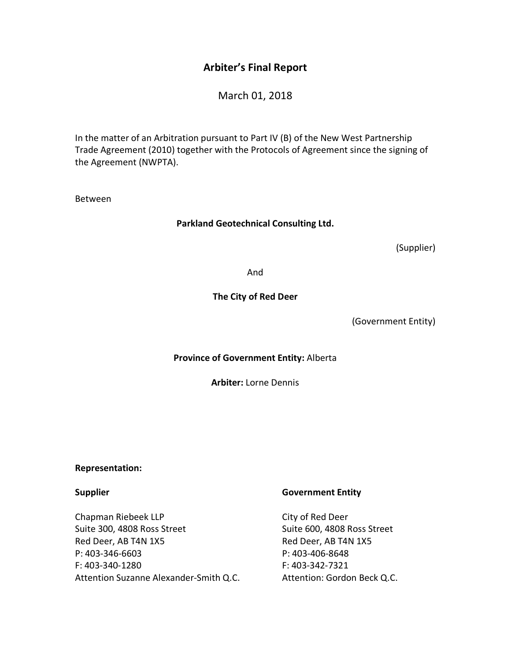## **Arbiter's Final Report**

March 01, 2018

In the matter of an Arbitration pursuant to Part IV (B) of the New West Partnership Trade Agreement (2010) together with the Protocols of Agreement since the signing of the Agreement (NWPTA).

Between

#### **Parkland Geotechnical Consulting Ltd.**

(Supplier)

And

#### **The City of Red Deer**

(Government Entity)

**Province of Government Entity:** Alberta

**Arbiter:** Lorne Dennis

#### **Representation:**

#### **Supplier**

Chapman Riebeek LLP Suite 300, 4808 Ross Street Red Deer, AB T4N 1X5 P: 403-346-6603 F: 403-340-1280 Attention Suzanne Alexander-Smith Q.C.

#### **Government Entity**

City of Red Deer Suite 600, 4808 Ross Street Red Deer, AB T4N 1X5 P: 403-406-8648 F: 403-342-7321 Attention: Gordon Beck Q.C.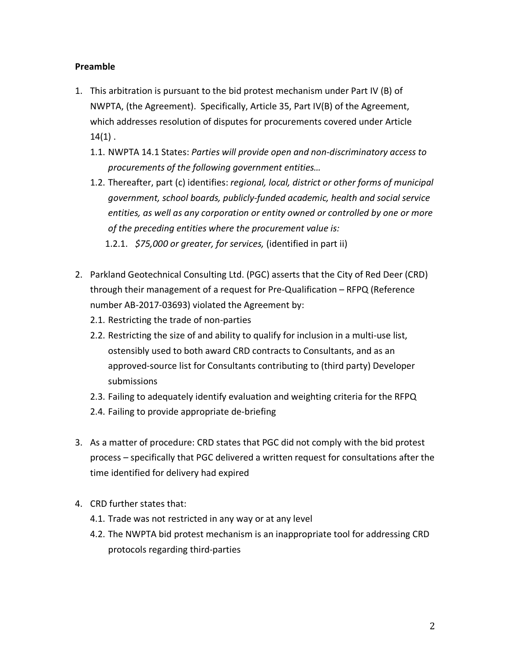### **Preamble**

- 1. This arbitration is pursuant to the bid protest mechanism under Part IV (B) of NWPTA, (the Agreement). Specifically, Article 35, Part IV(B) of the Agreement, which addresses resolution of disputes for procurements covered under Article  $14(1)$ .
	- 1.1. NWPTA 14.1 States: *Parties will provide open and non-discriminatory access to procurements of the following government entities…*
	- 1.2. Thereafter, part (c) identifies: *regional, local, district or other forms of municipal government, school boards, publicly-funded academic, health and social service entities, as well as any corporation or entity owned or controlled by one or more of the preceding entities where the procurement value is:* 
		- 1.2.1. *\$75,000 or greater, for services,* (identified in part ii)
- 2. Parkland Geotechnical Consulting Ltd. (PGC) asserts that the City of Red Deer (CRD) through their management of a request for Pre-Qualification – RFPQ (Reference number AB-2017-03693) violated the Agreement by:
	- 2.1. Restricting the trade of non-parties
	- 2.2. Restricting the size of and ability to qualify for inclusion in a multi-use list, ostensibly used to both award CRD contracts to Consultants, and as an approved-source list for Consultants contributing to (third party) Developer submissions
	- 2.3. Failing to adequately identify evaluation and weighting criteria for the RFPQ
	- 2.4. Failing to provide appropriate de-briefing
- 3. As a matter of procedure: CRD states that PGC did not comply with the bid protest process – specifically that PGC delivered a written request for consultations after the time identified for delivery had expired
- 4. CRD further states that:
	- 4.1. Trade was not restricted in any way or at any level
	- 4.2. The NWPTA bid protest mechanism is an inappropriate tool for addressing CRD protocols regarding third-parties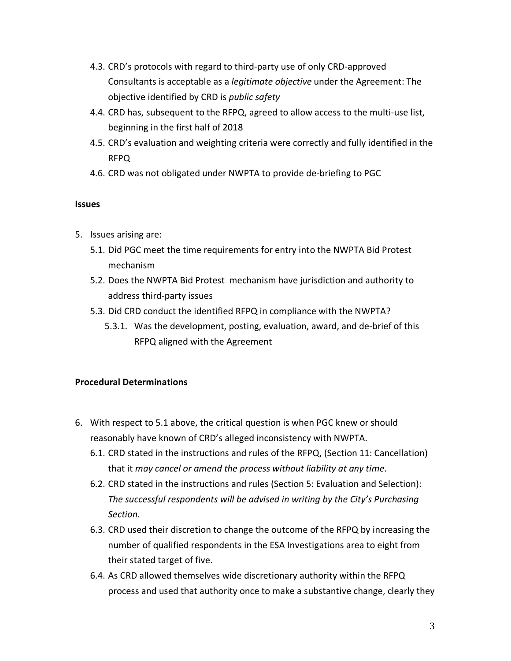- 4.3. CRD's protocols with regard to third-party use of only CRD-approved Consultants is acceptable as a *legitimate objective* under the Agreement: The objective identified by CRD is *public safety*
- 4.4. CRD has, subsequent to the RFPQ, agreed to allow access to the multi-use list, beginning in the first half of 2018
- 4.5. CRD's evaluation and weighting criteria were correctly and fully identified in the RFPQ
- 4.6. CRD was not obligated under NWPTA to provide de-briefing to PGC

### **Issues**

- 5. Issues arising are:
	- 5.1. Did PGC meet the time requirements for entry into the NWPTA Bid Protest mechanism
	- 5.2. Does the NWPTA Bid Protest mechanism have jurisdiction and authority to address third-party issues
	- 5.3. Did CRD conduct the identified RFPQ in compliance with the NWPTA?
		- 5.3.1. Was the development, posting, evaluation, award, and de-brief of this RFPQ aligned with the Agreement

## **Procedural Determinations**

- 6. With respect to 5.1 above, the critical question is when PGC knew or should reasonably have known of CRD's alleged inconsistency with NWPTA.
	- 6.1. CRD stated in the instructions and rules of the RFPQ, (Section 11: Cancellation) that it *may cancel or amend the process without liability at any time*.
	- 6.2. CRD stated in the instructions and rules (Section 5: Evaluation and Selection): *The successful respondents will be advised in writing by the City's Purchasing Section.*
	- 6.3. CRD used their discretion to change the outcome of the RFPQ by increasing the number of qualified respondents in the ESA Investigations area to eight from their stated target of five.
	- 6.4. As CRD allowed themselves wide discretionary authority within the RFPQ process and used that authority once to make a substantive change, clearly they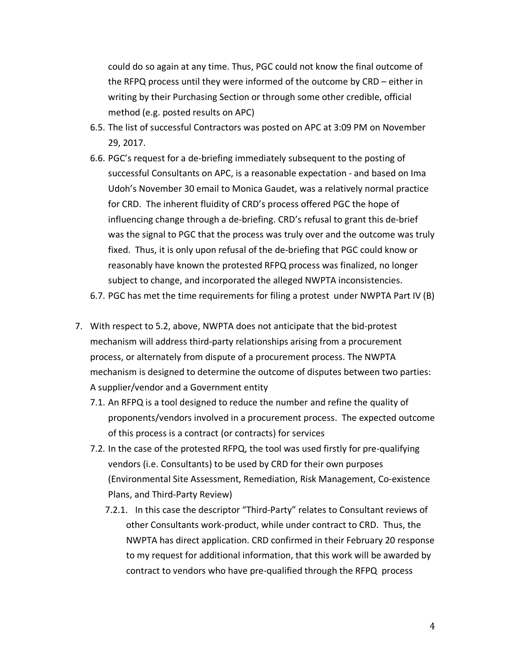could do so again at any time. Thus, PGC could not know the final outcome of the RFPQ process until they were informed of the outcome by CRD – either in writing by their Purchasing Section or through some other credible, official method (e.g. posted results on APC)

- 6.5. The list of successful Contractors was posted on APC at 3:09 PM on November 29, 2017.
- 6.6. PGC's request for a de-briefing immediately subsequent to the posting of successful Consultants on APC, is a reasonable expectation - and based on Ima Udoh's November 30 email to Monica Gaudet, was a relatively normal practice for CRD. The inherent fluidity of CRD's process offered PGC the hope of influencing change through a de-briefing. CRD's refusal to grant this de-brief was the signal to PGC that the process was truly over and the outcome was truly fixed. Thus, it is only upon refusal of the de-briefing that PGC could know or reasonably have known the protested RFPQ process was finalized, no longer subject to change, and incorporated the alleged NWPTA inconsistencies.
- 6.7. PGC has met the time requirements for filing a protest under NWPTA Part IV (B)
- 7. With respect to 5.2, above, NWPTA does not anticipate that the bid-protest mechanism will address third-party relationships arising from a procurement process, or alternately from dispute of a procurement process. The NWPTA mechanism is designed to determine the outcome of disputes between two parties: A supplier/vendor and a Government entity
	- 7.1. An RFPQ is a tool designed to reduce the number and refine the quality of proponents/vendors involved in a procurement process. The expected outcome of this process is a contract (or contracts) for services
	- 7.2. In the case of the protested RFPQ, the tool was used firstly for pre-qualifying vendors (i.e. Consultants) to be used by CRD for their own purposes (Environmental Site Assessment, Remediation, Risk Management, Co-existence Plans, and Third-Party Review)
		- 7.2.1. In this case the descriptor "Third-Party" relates to Consultant reviews of other Consultants work-product, while under contract to CRD. Thus, the NWPTA has direct application. CRD confirmed in their February 20 response to my request for additional information, that this work will be awarded by contract to vendors who have pre-qualified through the RFPQ process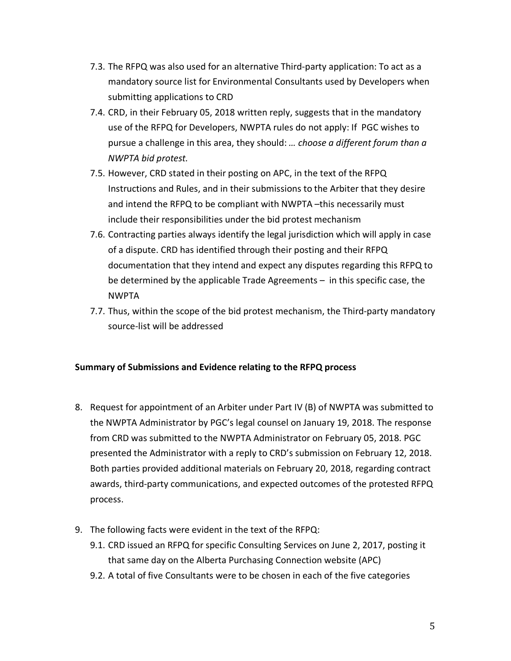- 7.3. The RFPQ was also used for an alternative Third-party application: To act as a mandatory source list for Environmental Consultants used by Developers when submitting applications to CRD
- 7.4. CRD, in their February 05, 2018 written reply, suggests that in the mandatory use of the RFPQ for Developers, NWPTA rules do not apply: If PGC wishes to pursue a challenge in this area, they should: *… choose a different forum than a NWPTA bid protest.*
- 7.5. However, CRD stated in their posting on APC, in the text of the RFPQ Instructions and Rules, and in their submissions to the Arbiter that they desire and intend the RFPQ to be compliant with NWPTA –this necessarily must include their responsibilities under the bid protest mechanism
- 7.6. Contracting parties always identify the legal jurisdiction which will apply in case of a dispute. CRD has identified through their posting and their RFPQ documentation that they intend and expect any disputes regarding this RFPQ to be determined by the applicable Trade Agreements – in this specific case, the NWPTA
- 7.7. Thus, within the scope of the bid protest mechanism, the Third-party mandatory source-list will be addressed

## **Summary of Submissions and Evidence relating to the RFPQ process**

- 8. Request for appointment of an Arbiter under Part IV (B) of NWPTA was submitted to the NWPTA Administrator by PGC's legal counsel on January 19, 2018. The response from CRD was submitted to the NWPTA Administrator on February 05, 2018. PGC presented the Administrator with a reply to CRD's submission on February 12, 2018. Both parties provided additional materials on February 20, 2018, regarding contract awards, third-party communications, and expected outcomes of the protested RFPQ process.
- 9. The following facts were evident in the text of the RFPQ:
	- 9.1. CRD issued an RFPQ for specific Consulting Services on June 2, 2017, posting it that same day on the Alberta Purchasing Connection website (APC)
	- 9.2. A total of five Consultants were to be chosen in each of the five categories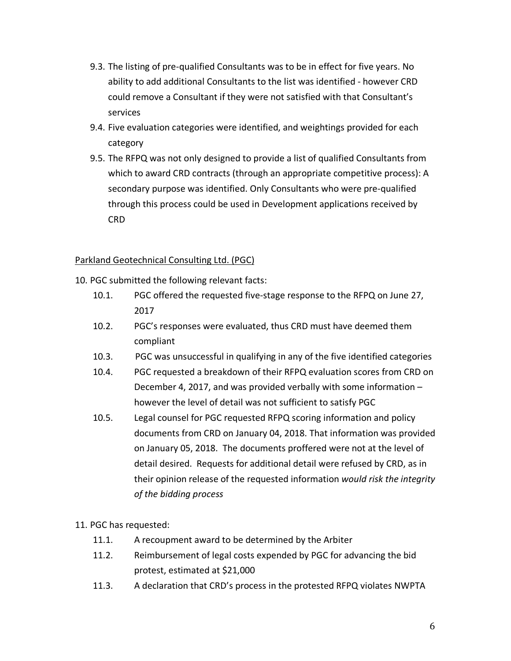- 9.3. The listing of pre-qualified Consultants was to be in effect for five years. No ability to add additional Consultants to the list was identified - however CRD could remove a Consultant if they were not satisfied with that Consultant's services
- 9.4. Five evaluation categories were identified, and weightings provided for each category
- 9.5. The RFPQ was not only designed to provide a list of qualified Consultants from which to award CRD contracts (through an appropriate competitive process): A secondary purpose was identified. Only Consultants who were pre-qualified through this process could be used in Development applications received by CRD

## Parkland Geotechnical Consulting Ltd. (PGC)

- 10. PGC submitted the following relevant facts:
	- 10.1. PGC offered the requested five-stage response to the RFPQ on June 27, 2017
	- 10.2. PGC's responses were evaluated, thus CRD must have deemed them compliant
	- 10.3. PGC was unsuccessful in qualifying in any of the five identified categories
	- 10.4. PGC requested a breakdown of their RFPQ evaluation scores from CRD on December 4, 2017, and was provided verbally with some information – however the level of detail was not sufficient to satisfy PGC
	- 10.5. Legal counsel for PGC requested RFPQ scoring information and policy documents from CRD on January 04, 2018. That information was provided on January 05, 2018. The documents proffered were not at the level of detail desired. Requests for additional detail were refused by CRD, as in their opinion release of the requested information *would risk the integrity of the bidding process*

## 11. PGC has requested:

- 11.1. A recoupment award to be determined by the Arbiter
- 11.2. Reimbursement of legal costs expended by PGC for advancing the bid protest, estimated at \$21,000
- 11.3. A declaration that CRD's process in the protested RFPQ violates NWPTA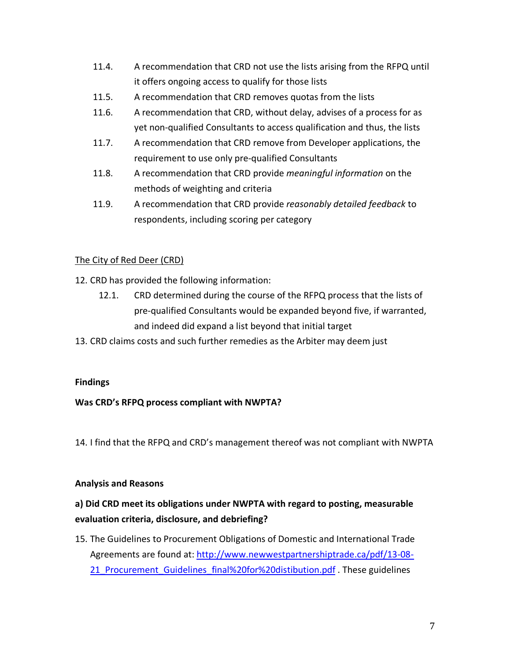- 11.4. A recommendation that CRD not use the lists arising from the RFPQ until it offers ongoing access to qualify for those lists
- 11.5. A recommendation that CRD removes quotas from the lists
- 11.6. A recommendation that CRD, without delay, advises of a process for as yet non-qualified Consultants to access qualification and thus, the lists
- 11.7. A recommendation that CRD remove from Developer applications, the requirement to use only pre-qualified Consultants
- 11.8. A recommendation that CRD provide *meaningful information* on the methods of weighting and criteria
- 11.9. A recommendation that CRD provide *reasonably detailed feedback* to respondents, including scoring per category

## The City of Red Deer (CRD)

- 12. CRD has provided the following information:
	- 12.1. CRD determined during the course of the RFPQ process that the lists of pre-qualified Consultants would be expanded beyond five, if warranted, and indeed did expand a list beyond that initial target
- 13. CRD claims costs and such further remedies as the Arbiter may deem just

## **Findings**

## **Was CRD's RFPQ process compliant with NWPTA?**

14. I find that the RFPQ and CRD's management thereof was not compliant with NWPTA

## **Analysis and Reasons**

# **a) Did CRD meet its obligations under NWPTA with regard to posting, measurable evaluation criteria, disclosure, and debriefing?**

15. The Guidelines to Procurement Obligations of Domestic and International Trade Agreements are found at: http://www.newwestpartnershiptrade.ca/pdf/13-08- 21 Procurement Guidelines final%20for%20distibution.pdf . These guidelines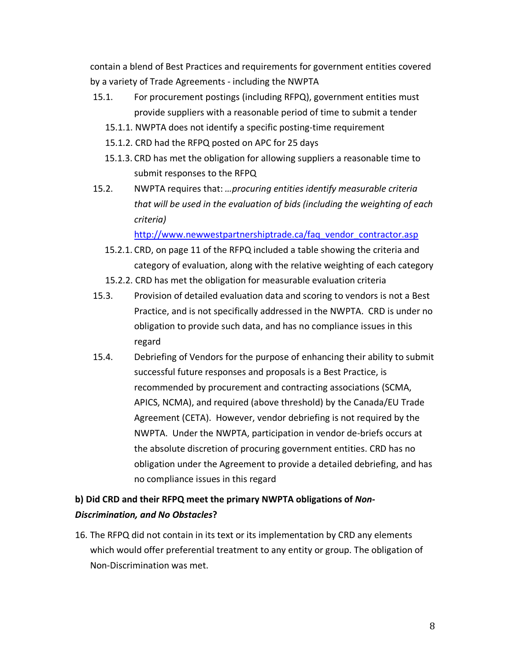contain a blend of Best Practices and requirements for government entities covered by a variety of Trade Agreements - including the NWPTA

- 15.1. For procurement postings (including RFPQ), government entities must provide suppliers with a reasonable period of time to submit a tender
	- 15.1.1. NWPTA does not identify a specific posting-time requirement
	- 15.1.2. CRD had the RFPQ posted on APC for 25 days
	- 15.1.3. CRD has met the obligation for allowing suppliers a reasonable time to submit responses to the RFPQ
- 15.2. NWPTA requires that: *…procuring entities identify measurable criteria that will be used in the evaluation of bids (including the weighting of each criteria)*

http://www.newwestpartnershiptrade.ca/faq\_vendor\_contractor.asp

- 15.2.1. CRD, on page 11 of the RFPQ included a table showing the criteria and category of evaluation, along with the relative weighting of each category
- 15.2.2. CRD has met the obligation for measurable evaluation criteria
- 15.3. Provision of detailed evaluation data and scoring to vendors is not a Best Practice, and is not specifically addressed in the NWPTA. CRD is under no obligation to provide such data, and has no compliance issues in this regard
- 15.4. Debriefing of Vendors for the purpose of enhancing their ability to submit successful future responses and proposals is a Best Practice, is recommended by procurement and contracting associations (SCMA, APICS, NCMA), and required (above threshold) by the Canada/EU Trade Agreement (CETA). However, vendor debriefing is not required by the NWPTA. Under the NWPTA, participation in vendor de-briefs occurs at the absolute discretion of procuring government entities. CRD has no obligation under the Agreement to provide a detailed debriefing, and has no compliance issues in this regard

# **b) Did CRD and their RFPQ meet the primary NWPTA obligations of** *Non-Discrimination, and No Obstacles***?**

16. The RFPQ did not contain in its text or its implementation by CRD any elements which would offer preferential treatment to any entity or group. The obligation of Non-Discrimination was met.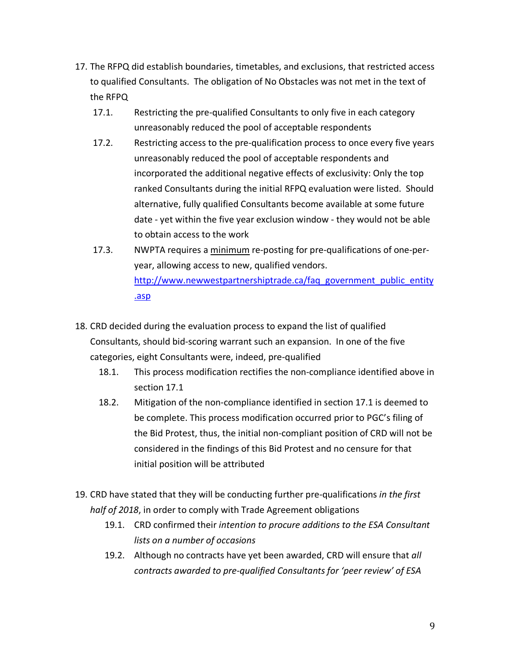- 17. The RFPQ did establish boundaries, timetables, and exclusions, that restricted access to qualified Consultants. The obligation of No Obstacles was not met in the text of the RFPQ
	- 17.1. Restricting the pre-qualified Consultants to only five in each category unreasonably reduced the pool of acceptable respondents
	- 17.2. Restricting access to the pre-qualification process to once every five years unreasonably reduced the pool of acceptable respondents and incorporated the additional negative effects of exclusivity: Only the top ranked Consultants during the initial RFPQ evaluation were listed. Should alternative, fully qualified Consultants become available at some future date - yet within the five year exclusion window - they would not be able to obtain access to the work
	- 17.3. NWPTA requires a minimum re-posting for pre-qualifications of one-peryear, allowing access to new, qualified vendors. http://www.newwestpartnershiptrade.ca/faq\_government\_public\_entity .asp
- 18. CRD decided during the evaluation process to expand the list of qualified Consultants, should bid-scoring warrant such an expansion. In one of the five categories, eight Consultants were, indeed, pre-qualified
	- 18.1. This process modification rectifies the non-compliance identified above in section 17.1
	- 18.2. Mitigation of the non-compliance identified in section 17.1 is deemed to be complete. This process modification occurred prior to PGC's filing of the Bid Protest, thus, the initial non-compliant position of CRD will not be considered in the findings of this Bid Protest and no censure for that initial position will be attributed
- 19. CRD have stated that they will be conducting further pre-qualifications *in the first half of 2018*, in order to comply with Trade Agreement obligations
	- 19.1. CRD confirmed their *intention to procure additions to the ESA Consultant lists on a number of occasions*
	- 19.2. Although no contracts have yet been awarded, CRD will ensure that *all contracts awarded to pre-qualified Consultants for 'peer review' of ESA*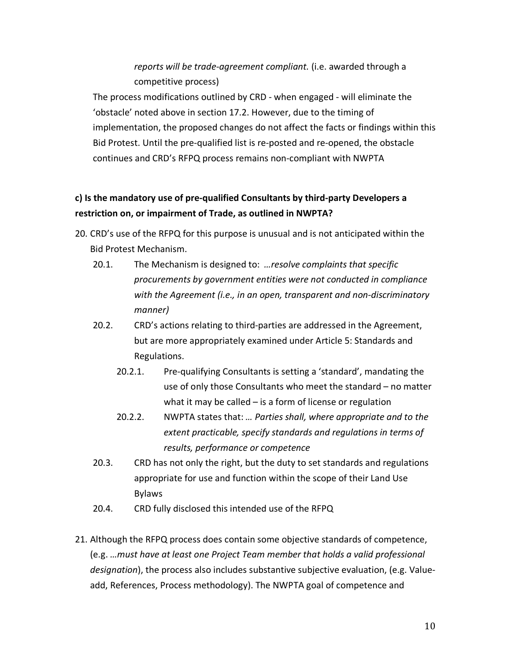# *reports will be trade-agreement compliant.* (i.e. awarded through a competitive process)

The process modifications outlined by CRD - when engaged - will eliminate the 'obstacle' noted above in section 17.2. However, due to the timing of implementation, the proposed changes do not affect the facts or findings within this Bid Protest. Until the pre-qualified list is re-posted and re-opened, the obstacle continues and CRD's RFPQ process remains non-compliant with NWPTA

# **c) Is the mandatory use of pre-qualified Consultants by third-party Developers a restriction on, or impairment of Trade, as outlined in NWPTA?**

- 20. CRD's use of the RFPQ for this purpose is unusual and is not anticipated within the Bid Protest Mechanism.
	- 20.1. The Mechanism is designed to: *…resolve complaints that specific procurements by government entities were not conducted in compliance with the Agreement (i.e., in an open, transparent and non-discriminatory manner)*
	- 20.2. CRD's actions relating to third-parties are addressed in the Agreement, but are more appropriately examined under Article 5: Standards and Regulations.
		- 20.2.1. Pre-qualifying Consultants is setting a 'standard', mandating the use of only those Consultants who meet the standard – no matter what it may be called – is a form of license or regulation
		- 20.2.2. NWPTA states that: *… Parties shall, where appropriate and to the extent practicable, specify standards and regulations in terms of results, performance or competence*
	- 20.3. CRD has not only the right, but the duty to set standards and regulations appropriate for use and function within the scope of their Land Use Bylaws
	- 20.4. CRD fully disclosed this intended use of the RFPQ
- 21. Although the RFPQ process does contain some objective standards of competence, (e.g. *…must have at least one Project Team member that holds a valid professional designation*), the process also includes substantive subjective evaluation, (e.g. Valueadd, References, Process methodology). The NWPTA goal of competence and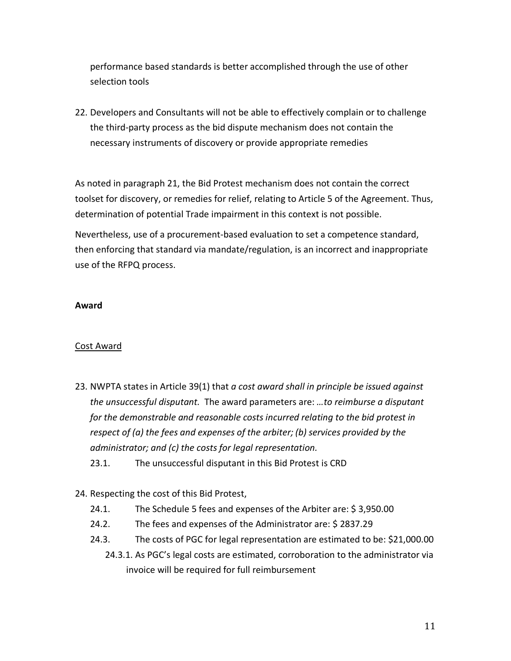performance based standards is better accomplished through the use of other selection tools

22. Developers and Consultants will not be able to effectively complain or to challenge the third-party process as the bid dispute mechanism does not contain the necessary instruments of discovery or provide appropriate remedies

As noted in paragraph 21, the Bid Protest mechanism does not contain the correct toolset for discovery, or remedies for relief, relating to Article 5 of the Agreement. Thus, determination of potential Trade impairment in this context is not possible.

Nevertheless, use of a procurement-based evaluation to set a competence standard, then enforcing that standard via mandate/regulation, is an incorrect and inappropriate use of the RFPQ process.

### **Award**

## Cost Award

- 23. NWPTA states in Article 39(1) that *a cost award shall in principle be issued against the unsuccessful disputant.* The award parameters are: *…to reimburse a disputant for the demonstrable and reasonable costs incurred relating to the bid protest in respect of (a) the fees and expenses of the arbiter; (b) services provided by the administrator; and (c) the costs for legal representation.*
	- 23.1. The unsuccessful disputant in this Bid Protest is CRD
- 24. Respecting the cost of this Bid Protest,
	- 24.1. The Schedule 5 fees and expenses of the Arbiter are: \$ 3,950.00
	- 24.2. The fees and expenses of the Administrator are: \$ 2837.29
	- 24.3. The costs of PGC for legal representation are estimated to be: \$21,000.00
		- 24.3.1. As PGC's legal costs are estimated, corroboration to the administrator via invoice will be required for full reimbursement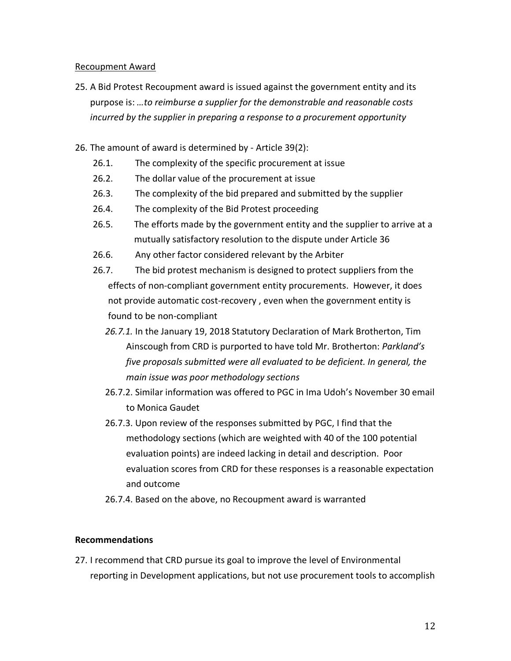#### Recoupment Award

- 25. A Bid Protest Recoupment award is issued against the government entity and its purpose is: *…to reimburse a supplier for the demonstrable and reasonable costs incurred by the supplier in preparing a response to a procurement opportunity*
- 26. The amount of award is determined by Article 39(2):
	- 26.1. The complexity of the specific procurement at issue
	- 26.2. The dollar value of the procurement at issue
	- 26.3. The complexity of the bid prepared and submitted by the supplier
	- 26.4. The complexity of the Bid Protest proceeding
	- 26.5. The efforts made by the government entity and the supplier to arrive at a mutually satisfactory resolution to the dispute under Article 36
	- 26.6. Any other factor considered relevant by the Arbiter
	- 26.7. The bid protest mechanism is designed to protect suppliers from the effects of non-compliant government entity procurements. However, it does not provide automatic cost-recovery , even when the government entity is found to be non-compliant
		- *26.7.1.* In the January 19, 2018 Statutory Declaration of Mark Brotherton, Tim Ainscough from CRD is purported to have told Mr. Brotherton: *Parkland's five proposals submitted were all evaluated to be deficient. In general, the main issue was poor methodology sections*
		- 26.7.2. Similar information was offered to PGC in Ima Udoh's November 30 email to Monica Gaudet
		- 26.7.3. Upon review of the responses submitted by PGC, I find that the methodology sections (which are weighted with 40 of the 100 potential evaluation points) are indeed lacking in detail and description. Poor evaluation scores from CRD for these responses is a reasonable expectation and outcome
		- 26.7.4. Based on the above, no Recoupment award is warranted

#### **Recommendations**

27. I recommend that CRD pursue its goal to improve the level of Environmental reporting in Development applications, but not use procurement tools to accomplish